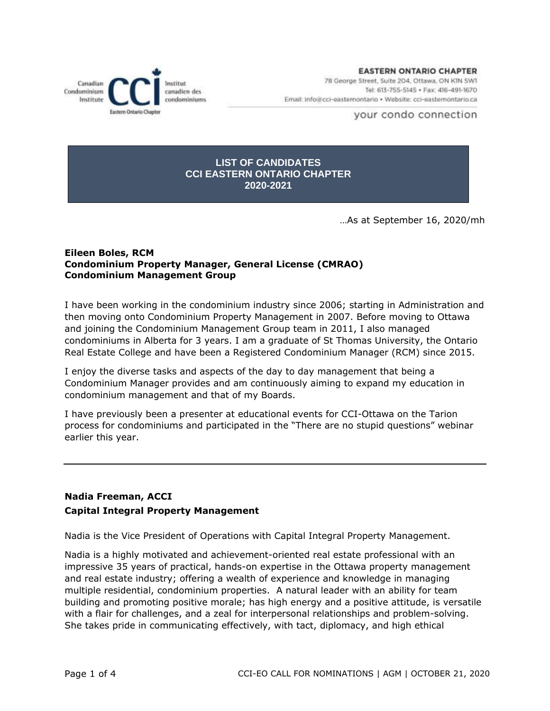Canadian nstitut canadien des Condominium condominiums Institute Eastern Ontario Chapter

**EASTERN ONTARIO CHAPTER** 78 George Street, Suite 204, Ottawa, ON KIN 5W1 Tel: 613-755-5145 · Fax: 416-491-1670 Email: Info@cci-easternontario . Website: cci-easternontario.ca

your condo connection

## **LIST OF CANDIDATES CCI EASTERN ONTARIO CHAPTER 2020-2021**

…As at September 16, 2020/mh

## **Eileen Boles, RCM Condominium Property Manager, General License (CMRAO) Condominium Management Group**

I have been working in the condominium industry since 2006; starting in Administration and then moving onto Condominium Property Management in 2007. Before moving to Ottawa and joining the Condominium Management Group team in 2011, I also managed condominiums in Alberta for 3 years. I am a graduate of St Thomas University, the Ontario Real Estate College and have been a Registered Condominium Manager (RCM) since 2015.

I enjoy the diverse tasks and aspects of the day to day management that being a Condominium Manager provides and am continuously aiming to expand my education in condominium management and that of my Boards.

I have previously been a presenter at educational events for CCI-Ottawa on the Tarion process for condominiums and participated in the "There are no stupid questions" webinar earlier this year.

# **Nadia Freeman, ACCI Capital Integral Property Management**

Nadia is the Vice President of Operations with Capital Integral Property Management.

Nadia is a highly motivated and achievement-oriented real estate professional with an impressive 35 years of practical, hands-on expertise in the Ottawa property management and real estate industry; offering a wealth of experience and knowledge in managing multiple residential, condominium properties. A natural leader with an ability for team building and promoting positive morale; has high energy and a positive attitude, is versatile with a flair for challenges, and a zeal for interpersonal relationships and problem-solving. She takes pride in communicating effectively, with tact, diplomacy, and high ethical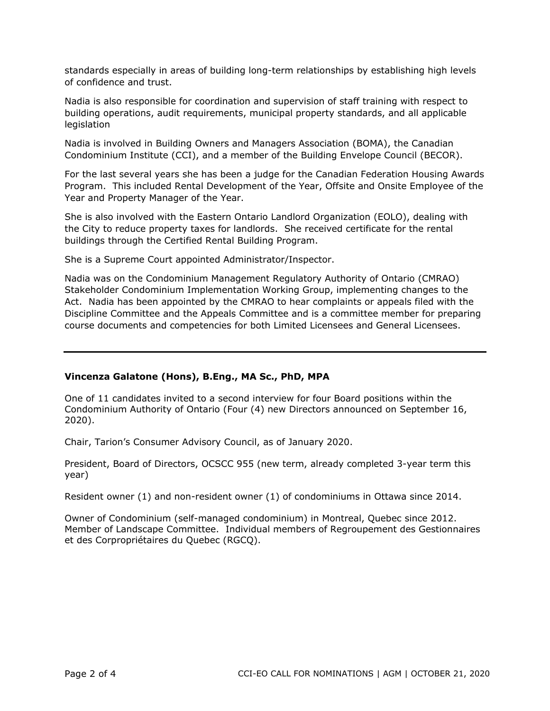standards especially in areas of building long-term relationships by establishing high levels of confidence and trust.

Nadia is also responsible for coordination and supervision of staff training with respect to building operations, audit requirements, municipal property standards, and all applicable legislation

Nadia is involved in Building Owners and Managers Association (BOMA), the Canadian Condominium Institute (CCI), and a member of the Building Envelope Council (BECOR).

For the last several years she has been a judge for the Canadian Federation Housing Awards Program. This included Rental Development of the Year, Offsite and Onsite Employee of the Year and Property Manager of the Year.

She is also involved with the Eastern Ontario Landlord Organization (EOLO), dealing with the City to reduce property taxes for landlords. She received certificate for the rental buildings through the Certified Rental Building Program.

She is a Supreme Court appointed Administrator/Inspector.

Nadia was on the Condominium Management Regulatory Authority of Ontario (CMRAO) Stakeholder Condominium Implementation Working Group, implementing changes to the Act. Nadia has been appointed by the CMRAO to hear complaints or appeals filed with the Discipline Committee and the Appeals Committee and is a committee member for preparing course documents and competencies for both Limited Licensees and General Licensees.

# **Vincenza Galatone (Hons), B.Eng., MA Sc., PhD, MPA**

One of 11 candidates invited to a second interview for four Board positions within the Condominium Authority of Ontario (Four (4) new Directors announced on September 16, 2020).

Chair, Tarion's Consumer Advisory Council, as of January 2020.

President, Board of Directors, OCSCC 955 (new term, already completed 3-year term this year)

Resident owner (1) and non-resident owner (1) of condominiums in Ottawa since 2014.

Owner of Condominium (self-managed condominium) in Montreal, Quebec since 2012. Member of Landscape Committee. Individual members of Regroupement des Gestionnaires et des Corpropriétaires du Quebec (RGCQ).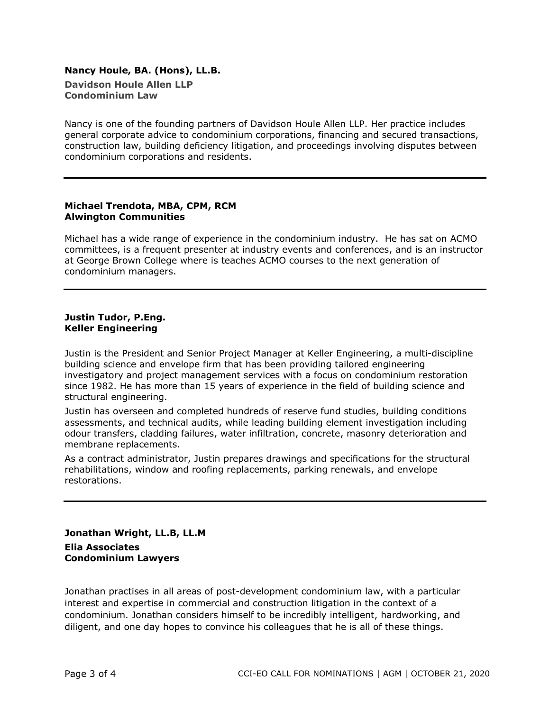#### **Nancy Houle, BA. (Hons), LL.B. Davidson Houle Allen LLP Condominium Law**

Nancy is one of the founding partners of Davidson Houle Allen LLP. Her practice includes general corporate advice to condominium corporations, financing and secured transactions, construction law, building deficiency litigation, and proceedings involving disputes between condominium corporations and residents.

#### **Michael Trendota, MBA, CPM, RCM Alwington Communities**

Michael has a wide range of experience in the condominium industry. He has sat on ACMO committees, is a frequent presenter at industry events and conferences, and is an instructor at George Brown College where is teaches ACMO courses to the next generation of condominium managers.

#### **Justin Tudor, P.Eng. Keller Engineering**

Justin is the President and Senior Project Manager at Keller Engineering, a multi-discipline building science and envelope firm that has been providing tailored engineering investigatory and project management services with a focus on condominium restoration since 1982. He has more than 15 years of experience in the field of building science and structural engineering.

Justin has overseen and completed hundreds of reserve fund studies, building conditions assessments, and technical audits, while leading building element investigation including odour transfers, cladding failures, water infiltration, concrete, masonry deterioration and membrane replacements.

As a contract administrator, Justin prepares drawings and specifications for the structural rehabilitations, window and roofing replacements, parking renewals, and envelope restorations.

# **Jonathan Wright, LL.B, LL.M Elia Associates Condominium Lawyers**

Jonathan practises in all areas of post-development condominium law, with a particular interest and expertise in commercial and construction litigation in the context of a condominium. Jonathan considers himself to be incredibly intelligent, hardworking, and diligent, and one day hopes to convince his colleagues that he is all of these things.